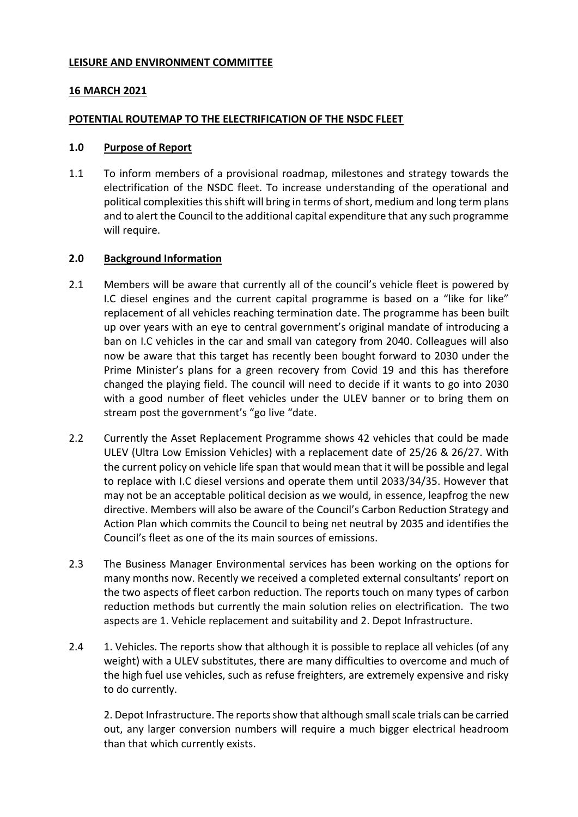### **LEISURE AND ENVIRONMENT COMMITTEE**

# **16 MARCH 2021**

## **POTENTIAL ROUTEMAP TO THE ELECTRIFICATION OF THE NSDC FLEET**

### **1.0 Purpose of Report**

1.1 To inform members of a provisional roadmap, milestones and strategy towards the electrification of the NSDC fleet. To increase understanding of the operational and political complexities this shift will bring in terms of short, medium and long term plans and to alert the Council to the additional capital expenditure that any such programme will require.

# **2.0 Background Information**

- 2.1 Members will be aware that currently all of the council's vehicle fleet is powered by I.C diesel engines and the current capital programme is based on a "like for like" replacement of all vehicles reaching termination date. The programme has been built up over years with an eye to central government's original mandate of introducing a ban on I.C vehicles in the car and small van category from 2040. Colleagues will also now be aware that this target has recently been bought forward to 2030 under the Prime Minister's plans for a green recovery from Covid 19 and this has therefore changed the playing field. The council will need to decide if it wants to go into 2030 with a good number of fleet vehicles under the ULEV banner or to bring them on stream post the government's "go live "date.
- 2.2 Currently the Asset Replacement Programme shows 42 vehicles that could be made ULEV (Ultra Low Emission Vehicles) with a replacement date of 25/26 & 26/27. With the current policy on vehicle life span that would mean that it will be possible and legal to replace with I.C diesel versions and operate them until 2033/34/35. However that may not be an acceptable political decision as we would, in essence, leapfrog the new directive. Members will also be aware of the Council's Carbon Reduction Strategy and Action Plan which commits the Council to being net neutral by 2035 and identifies the Council's fleet as one of the its main sources of emissions.
- 2.3 The Business Manager Environmental services has been working on the options for many months now. Recently we received a completed external consultants' report on the two aspects of fleet carbon reduction. The reports touch on many types of carbon reduction methods but currently the main solution relies on electrification. The two aspects are 1. Vehicle replacement and suitability and 2. Depot Infrastructure.
- 2.4 1. Vehicles. The reports show that although it is possible to replace all vehicles (of any weight) with a ULEV substitutes, there are many difficulties to overcome and much of the high fuel use vehicles, such as refuse freighters, are extremely expensive and risky to do currently.

2. Depot Infrastructure. The reports show that although small scale trials can be carried out, any larger conversion numbers will require a much bigger electrical headroom than that which currently exists.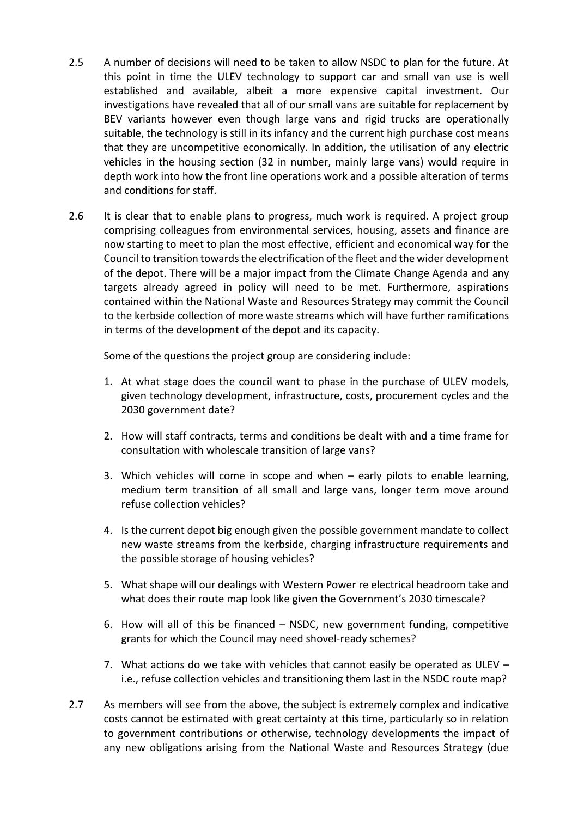- 2.5 A number of decisions will need to be taken to allow NSDC to plan for the future. At this point in time the ULEV technology to support car and small van use is well established and available, albeit a more expensive capital investment. Our investigations have revealed that all of our small vans are suitable for replacement by BEV variants however even though large vans and rigid trucks are operationally suitable, the technology is still in its infancy and the current high purchase cost means that they are uncompetitive economically. In addition, the utilisation of any electric vehicles in the housing section (32 in number, mainly large vans) would require in depth work into how the front line operations work and a possible alteration of terms and conditions for staff.
- 2.6 It is clear that to enable plans to progress, much work is required. A project group comprising colleagues from environmental services, housing, assets and finance are now starting to meet to plan the most effective, efficient and economical way for the Council to transition towards the electrification of the fleet and the wider development of the depot. There will be a major impact from the Climate Change Agenda and any targets already agreed in policy will need to be met. Furthermore, aspirations contained within the National Waste and Resources Strategy may commit the Council to the kerbside collection of more waste streams which will have further ramifications in terms of the development of the depot and its capacity.

Some of the questions the project group are considering include:

- 1. At what stage does the council want to phase in the purchase of ULEV models, given technology development, infrastructure, costs, procurement cycles and the 2030 government date?
- 2. How will staff contracts, terms and conditions be dealt with and a time frame for consultation with wholescale transition of large vans?
- 3. Which vehicles will come in scope and when early pilots to enable learning, medium term transition of all small and large vans, longer term move around refuse collection vehicles?
- 4. Is the current depot big enough given the possible government mandate to collect new waste streams from the kerbside, charging infrastructure requirements and the possible storage of housing vehicles?
- 5. What shape will our dealings with Western Power re electrical headroom take and what does their route map look like given the Government's 2030 timescale?
- 6. How will all of this be financed NSDC, new government funding, competitive grants for which the Council may need shovel-ready schemes?
- 7. What actions do we take with vehicles that cannot easily be operated as ULEV i.e., refuse collection vehicles and transitioning them last in the NSDC route map?
- 2.7 As members will see from the above, the subject is extremely complex and indicative costs cannot be estimated with great certainty at this time, particularly so in relation to government contributions or otherwise, technology developments the impact of any new obligations arising from the National Waste and Resources Strategy (due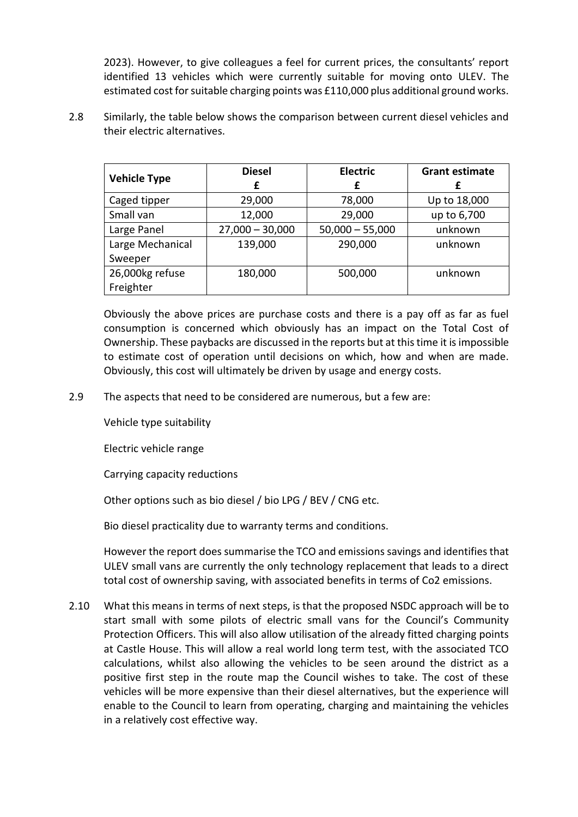2023). However, to give colleagues a feel for current prices, the consultants' report identified 13 vehicles which were currently suitable for moving onto ULEV. The estimated cost for suitable charging points was £110,000 plus additional ground works.

2.8 Similarly, the table below shows the comparison between current diesel vehicles and their electric alternatives.

| <b>Vehicle Type</b> | <b>Diesel</b>     | <b>Electric</b>   | <b>Grant estimate</b> |
|---------------------|-------------------|-------------------|-----------------------|
|                     | £                 | £                 |                       |
| Caged tipper        | 29,000            | 78,000            | Up to 18,000          |
| Small van           | 12,000            | 29,000            | up to 6,700           |
| Large Panel         | $27,000 - 30,000$ | $50,000 - 55,000$ | unknown               |
| Large Mechanical    | 139,000           | 290,000           | unknown               |
| Sweeper             |                   |                   |                       |
| 26,000kg refuse     | 180,000           | 500,000           | unknown               |
| Freighter           |                   |                   |                       |

Obviously the above prices are purchase costs and there is a pay off as far as fuel consumption is concerned which obviously has an impact on the Total Cost of Ownership. These paybacks are discussed in the reports but at this time it is impossible to estimate cost of operation until decisions on which, how and when are made. Obviously, this cost will ultimately be driven by usage and energy costs.

2.9 The aspects that need to be considered are numerous, but a few are:

Vehicle type suitability

Electric vehicle range

Carrying capacity reductions

Other options such as bio diesel / bio LPG / BEV / CNG etc.

Bio diesel practicality due to warranty terms and conditions.

However the report does summarise the TCO and emissions savings and identifies that ULEV small vans are currently the only technology replacement that leads to a direct total cost of ownership saving, with associated benefits in terms of Co2 emissions.

2.10 What this means in terms of next steps, is that the proposed NSDC approach will be to start small with some pilots of electric small vans for the Council's Community Protection Officers. This will also allow utilisation of the already fitted charging points at Castle House. This will allow a real world long term test, with the associated TCO calculations, whilst also allowing the vehicles to be seen around the district as a positive first step in the route map the Council wishes to take. The cost of these vehicles will be more expensive than their diesel alternatives, but the experience will enable to the Council to learn from operating, charging and maintaining the vehicles in a relatively cost effective way.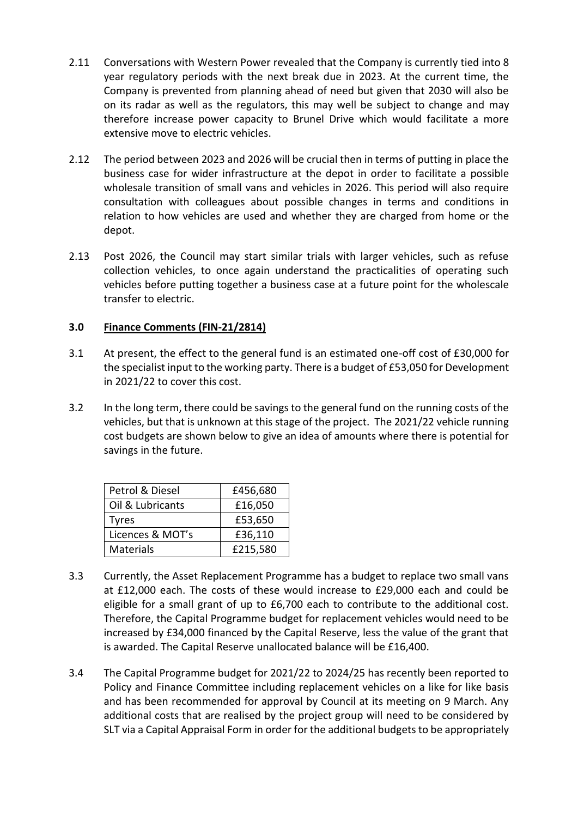- 2.11 Conversations with Western Power revealed that the Company is currently tied into 8 year regulatory periods with the next break due in 2023. At the current time, the Company is prevented from planning ahead of need but given that 2030 will also be on its radar as well as the regulators, this may well be subject to change and may therefore increase power capacity to Brunel Drive which would facilitate a more extensive move to electric vehicles.
- 2.12 The period between 2023 and 2026 will be crucial then in terms of putting in place the business case for wider infrastructure at the depot in order to facilitate a possible wholesale transition of small vans and vehicles in 2026. This period will also require consultation with colleagues about possible changes in terms and conditions in relation to how vehicles are used and whether they are charged from home or the depot.
- 2.13 Post 2026, the Council may start similar trials with larger vehicles, such as refuse collection vehicles, to once again understand the practicalities of operating such vehicles before putting together a business case at a future point for the wholescale transfer to electric.

# **3.0 Finance Comments (FIN-21/2814)**

- 3.1 At present, the effect to the general fund is an estimated one-off cost of £30,000 for the specialist input to the working party. There is a budget of £53,050 for Development in 2021/22 to cover this cost.
- 3.2 In the long term, there could be savings to the general fund on the running costs of the vehicles, but that is unknown at this stage of the project. The 2021/22 vehicle running cost budgets are shown below to give an idea of amounts where there is potential for savings in the future.

| Petrol & Diesel  | £456,680 |  |
|------------------|----------|--|
| Oil & Lubricants | £16,050  |  |
| Tyres            | £53,650  |  |
| Licences & MOT's | £36,110  |  |
| <b>Materials</b> | £215,580 |  |

- 3.3 Currently, the Asset Replacement Programme has a budget to replace two small vans at £12,000 each. The costs of these would increase to £29,000 each and could be eligible for a small grant of up to £6,700 each to contribute to the additional cost. Therefore, the Capital Programme budget for replacement vehicles would need to be increased by £34,000 financed by the Capital Reserve, less the value of the grant that is awarded. The Capital Reserve unallocated balance will be £16,400.
- 3.4 The Capital Programme budget for 2021/22 to 2024/25 has recently been reported to Policy and Finance Committee including replacement vehicles on a like for like basis and has been recommended for approval by Council at its meeting on 9 March. Any additional costs that are realised by the project group will need to be considered by SLT via a Capital Appraisal Form in order for the additional budgets to be appropriately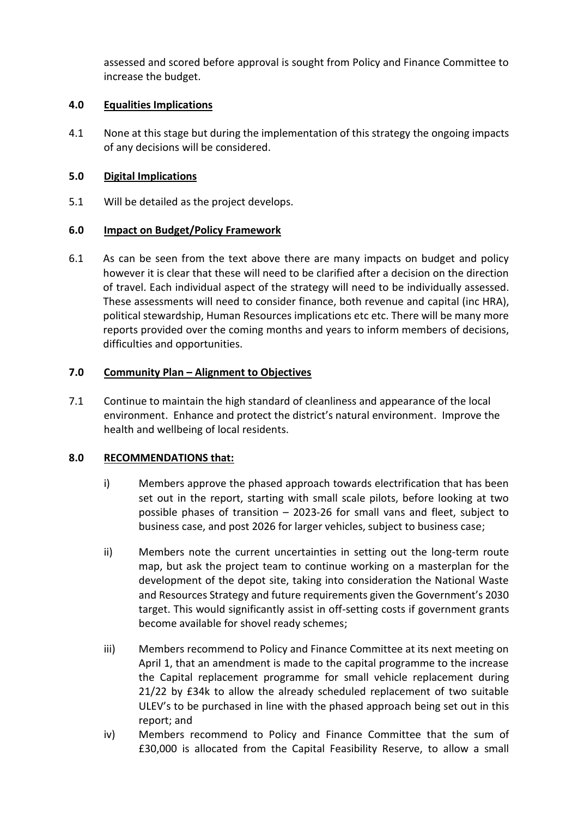assessed and scored before approval is sought from Policy and Finance Committee to increase the budget.

## **4.0 Equalities Implications**

4.1 None at this stage but during the implementation of this strategy the ongoing impacts of any decisions will be considered.

## **5.0 Digital Implications**

5.1 Will be detailed as the project develops.

## **6.0 Impact on Budget/Policy Framework**

6.1 As can be seen from the text above there are many impacts on budget and policy however it is clear that these will need to be clarified after a decision on the direction of travel. Each individual aspect of the strategy will need to be individually assessed. These assessments will need to consider finance, both revenue and capital (inc HRA), political stewardship, Human Resources implications etc etc. There will be many more reports provided over the coming months and years to inform members of decisions, difficulties and opportunities.

## **7.0 Community Plan – Alignment to Objectives**

7.1 Continue to maintain the high standard of cleanliness and appearance of the local environment. Enhance and protect the district's natural environment. Improve the health and wellbeing of local residents.

### **8.0 RECOMMENDATIONS that:**

- i) Members approve the phased approach towards electrification that has been set out in the report, starting with small scale pilots, before looking at two possible phases of transition – 2023-26 for small vans and fleet, subject to business case, and post 2026 for larger vehicles, subject to business case;
- ii) Members note the current uncertainties in setting out the long-term route map, but ask the project team to continue working on a masterplan for the development of the depot site, taking into consideration the National Waste and Resources Strategy and future requirements given the Government's 2030 target. This would significantly assist in off-setting costs if government grants become available for shovel ready schemes;
- iii) Members recommend to Policy and Finance Committee at its next meeting on April 1, that an amendment is made to the capital programme to the increase the Capital replacement programme for small vehicle replacement during 21/22 by £34k to allow the already scheduled replacement of two suitable ULEV's to be purchased in line with the phased approach being set out in this report; and
- iv) Members recommend to Policy and Finance Committee that the sum of £30,000 is allocated from the Capital Feasibility Reserve, to allow a small